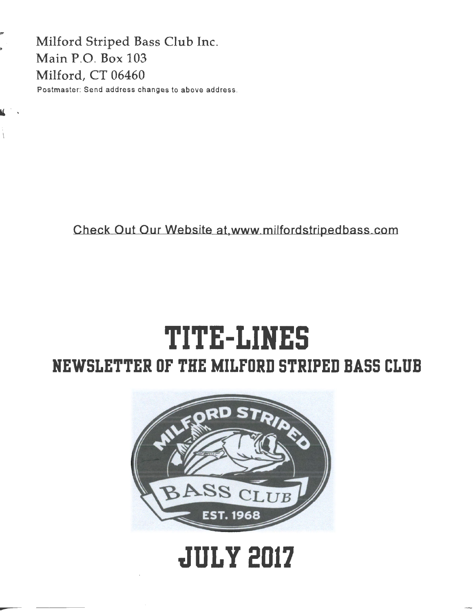Milford Striped Bass Club Inc. Main P.O. Box 103 Milford, CT 06460 Postmaster: Send address changes to above address .

,..

Check Out Our Website at,www milfordstripedbass com

## **TITE-LINES NEWSLETTER OF THE MILFORD STRIPED BASS CLUB**



## **JULY 2017**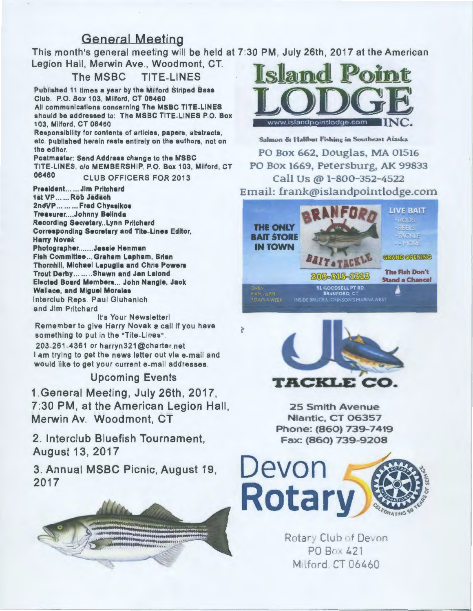#### General Meeting

This month's general meeting will be held at 7:30 PM, July 26th, 2017 at the American Legion Hall, Merwin Ave., Woodmont, CT.

The MSBC TITE-LINES Published 11 times a year by the Milford Striped Baas Club. P.O. Box 103, Milford, CT 06460 All communications concerning The MSBC TITE-LINES should be addressed to: The MSBC TITE-LINES P.O. Box 103, Milford, CT 06460 Responsibility for contents of articles, papers, abstracts, Salmon & Halibut Fishing in Southeast Alaska etc. published herein rests entirely on the authors, not on the editor. Postmaster: Send Address change to the MSBC TITE-LINES, c/o MEMBERSHIP, P.O. Box 103, Milford, CT **CLUB OFFICERS FOR 2013** President... ... Jim Pritchard 1st VP ... ... Rob Jadach 2ndVP......... Fred Chyssikos Treasurer....Johnny Belinda Recording Secretary..Lynn Pritchard **THE ONLY** Corresponding Secretary and Tite-Lines Editor, **BAIT STORE** Harry Novak

Photographer.......Jessie Henman Fish Committee ... Graham Lapham, Brian Thornhill, Michael Lapuglla and Chris Powers Trout Derby ... ... .. Shawn and Jen Lalond Elected Board Members... John Nangle, Jack Wallace, and Miguel Morales Interclub Reps. Paul Gluhanich

and Jim Pritchard

It's Your Newsletter! Remember to give Harry Novak a call if you have something to put in the "Tite-Lines".

203-261-4361 or harryn321 @charter. net I am trying to get the news letter out via e-mail and would like to get your current e-mail addresses .

Upcoming Events

1.General Meeting, July 26th, 2017, 7:30 PM, at the American Legion Hall, Merwin Av. Woodmont, CT

2. lnterclub Bluefish Tournament, August 13, 2017

3. Annual MSBC Picnic, August 19, 2017





PO Box 662. Douglas. MA 01516 PO Box 1669, Petersburg, AK 99833 call Us @ 1-800-352-4522 Email: frank@islandpointlodge.com





25 Smith Avenue Niantic. CT 06357 Phone: (860) 739-7419 Fax: (860) 739-9208



Rotary Club of Devon PO Box 421 M [ford CT 06460]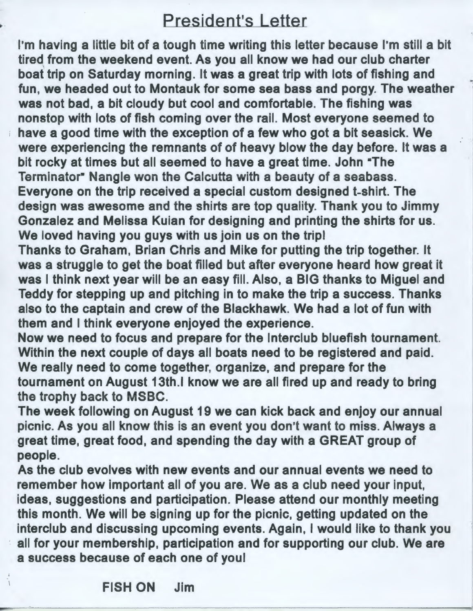### President's Letter

. '

I'm having a little bit of a tough time writing this letter because I'm still a bit tired from the weekend event. As you all know we had our club charter boat trip on Saturday morning. It was a great trip with lots of fishing and fun, we headed out to Montauk for some sea bass and porgy. The weather was not bad, a bit cloudy but cool and comfortable. The fishing was nonstop with lots of fish coming over the rail. Most everyone seemed to have a good time with the exception of a few who got a bit seasick. We were experiencing the remnants of of heavy blow the day before. It was a bit rocky at times but all seemed to have a great time. John "The Terminator<sup>•</sup> Nangle won the Calcutta with a beauty of a seabass. Everyone on the trip received a special custom designed t-shirt. The design was awesome and the shirts are top quality. Thank you to Jimmy Gonzalez and Melissa Kuian for designing and printing the shirts for us. We loved having you guys with us join us on the trip!

Thanks to Graham, Brian Chris and Mike for putting the trip together. It was a struggle to get the boat filled but after everyone heard how great it was I think next year will be an easy fill. Also, a BIG thanks to Miguel and Teddy for stepping up and pitching in to make the trip a success. Thanks also to the captain and crew of the Blackhawk. We had a lot of fun with them and I think everyone enjoyed the experience.

Now we need to focus and prepare for the lnterclub bluefish tournament. Within the next couple of days all boats need to be registered and paid. We really need to come together, organize, and prepare for the tournament on August 13th.l know we are all fired up and ready to bring the trophy back to MSBC.

The week following on August 19 we can kick back and enjoy our annual picnic. As you all know this is an event you don't want to miss. Always a great time, great food, and spending the day with a GREAT group of people.

As the club evolves with new events and our annual events we need to remember how important all of you are. We as a club need your input, ideas, suggestions and participation. Please attend our monthly meeting this month. We will be signing up for the picnic, getting updated on the interclub and discussing upcoming events. Again, I would like to thank you all for your membership, participation and for supporting our club. We are a success because of each one of you!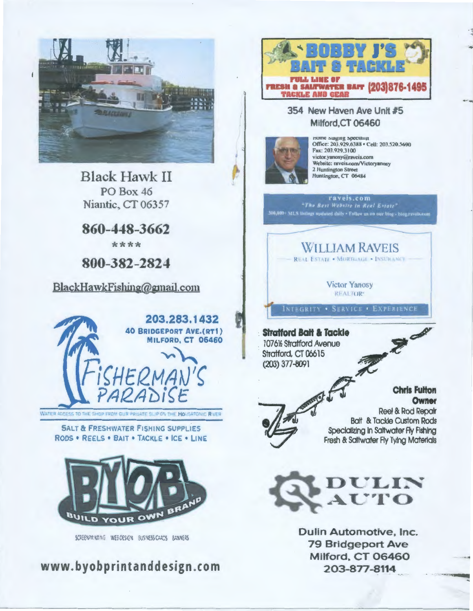

**Black Hawk II PO Box 46** Niantic, CT 06357

860-448-3662

\*\*\*\*

800-382-2824

BlackHawkFishing@gmail.com



WATER ADDESS TO THE SHOP FROM OUR PRIVATE SLIP ON THE HOUSATONIC RIVER

**SALT & FRESHWATER FISHING SUPPLIES** RODS . REELS . BAIT . TACKLE . ICE . LINE



KREENPRATING WEBCESCH BUSINESS CARS BANNERS

www.byobprintanddesign.com



#### 354 New Haven Ave Unit #5 Milford, CT 06460



riome Staging Specialist<br>Office: 203.929.6388 • Cell: 203.520.5690<br>Fax: 203.929.3100 victor.yanosy@raveis.com Website: raveis.com/Victoryanosy 2 Huntington Street Huntington, CT 06484

#### ravels.com

"The Best Website in Real Estate" 0,000 MLS listings updated daily > Follow us an our blog - blog.ravels.

#### WILLIAM RAVEIS **REAL ESTATE . MORTUAGE . INSURANC**

**Victor Yanosy REALTOR** 

INTEGRITY . SERVICE . EXPERIENCE

**Stratford Balt & Tackle** 1076% Stratford Avenue Stratford, CT 06615  $(203)$  377-8091





**Reel & Rod Repair Balt & Tackle Custom Rods** Specializing in Saltwater Fly Fishing Fresh & Saltwater Fly Tying Materials



Dulin Automotive, Inc. **79 Bridgeport Ave** Milford, CT 06460 203-877-8114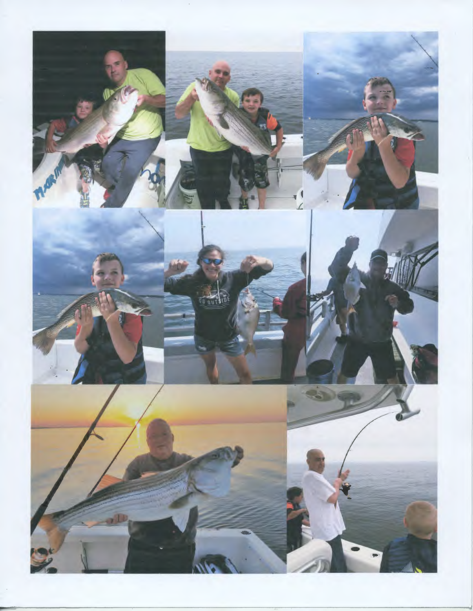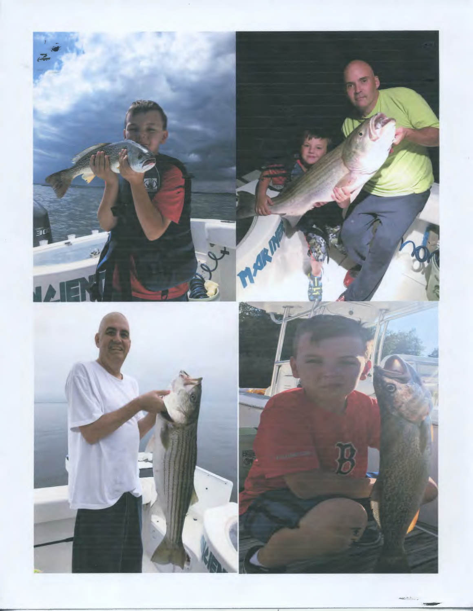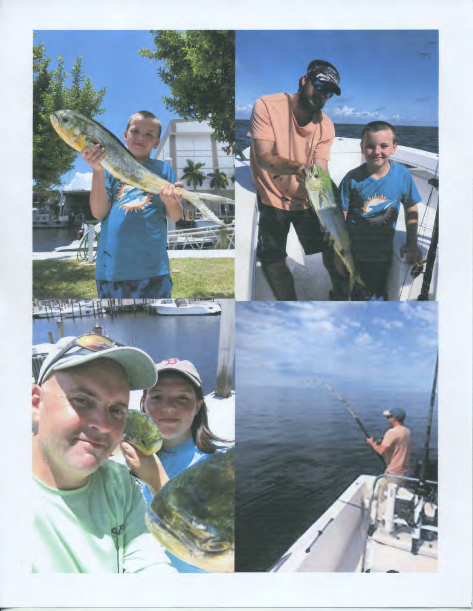